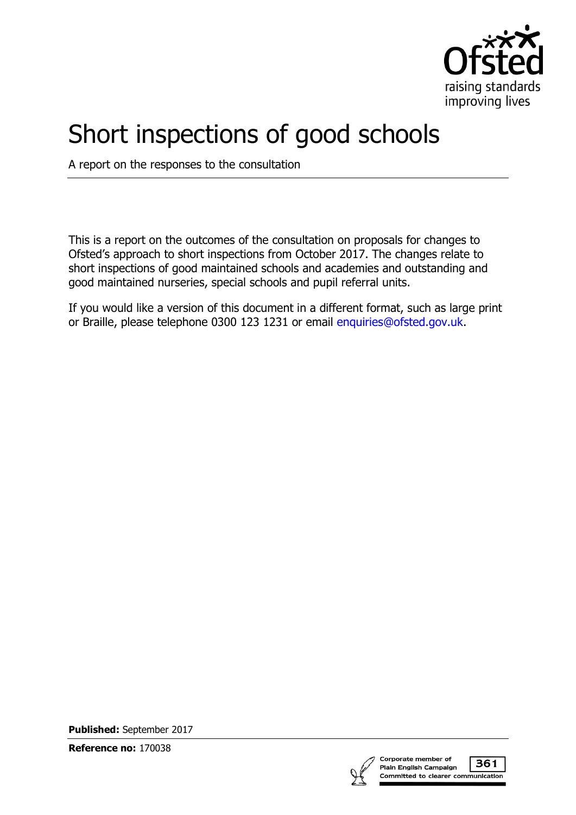

# Short inspections of good schools

A report on the responses to the consultation

This is a report on the outcomes of the consultation on proposals for changes to Ofsted's approach to short inspections from October 2017. The changes relate to short inspections of good maintained schools and academies and outstanding and good maintained nurseries, special schools and pupil referral units.

If you would like a version of this document in a different format, such as large print or Braille, please telephone 0300 123 1231 or email [enquiries@ofsted.gov.uk.](mailto:%20enquiries@ofsted.gov.uk)

**Published:** September 2017

**Reference no:** 170038

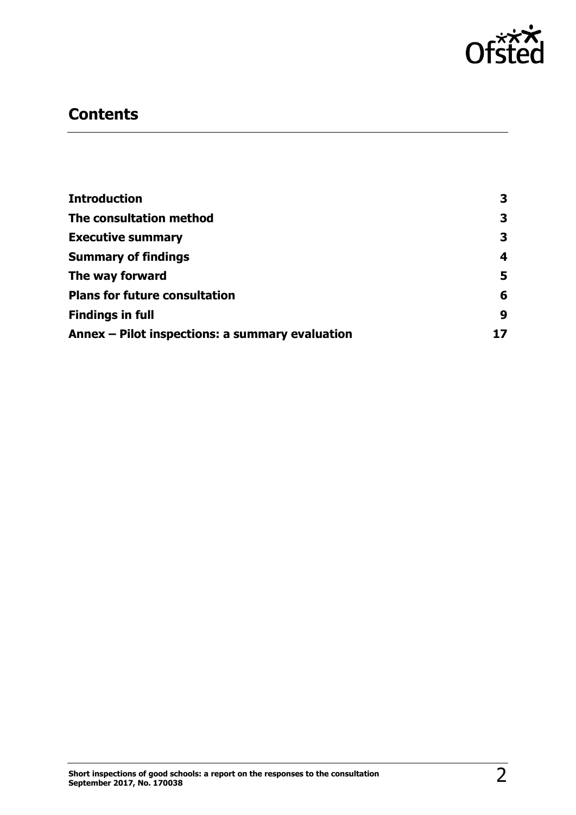

# **Contents**

| <b>Introduction</b>                             | 3  |
|-------------------------------------------------|----|
| The consultation method                         | 3  |
| <b>Executive summary</b>                        | 3  |
| <b>Summary of findings</b>                      | 4  |
| The way forward                                 | 5  |
| <b>Plans for future consultation</b>            | 6  |
| <b>Findings in full</b>                         | 9  |
| Annex – Pilot inspections: a summary evaluation | 17 |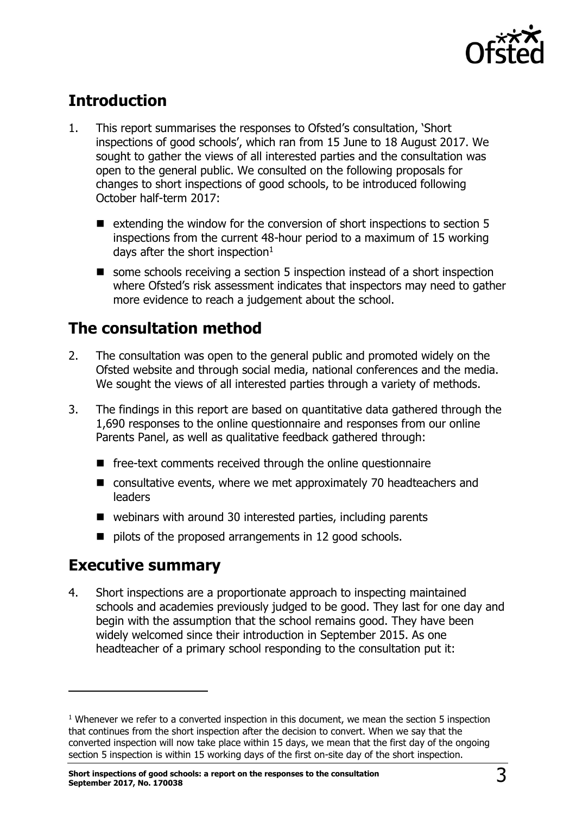

# <span id="page-2-0"></span>**Introduction**

- 1. This report summarises the responses to Ofsted's consultation, 'Short inspections of good schools', which ran from 15 June to 18 August 2017. We sought to gather the views of all interested parties and the consultation was open to the general public. We consulted on the following proposals for changes to short inspections of good schools, to be introduced following October half-term 2017:
	- $\blacksquare$  extending the window for the conversion of short inspections to section 5 inspections from the current 48-hour period to a maximum of 15 working days after the short inspection $1$
	- some schools receiving a section 5 inspection instead of a short inspection where Ofsted's risk assessment indicates that inspectors may need to gather more evidence to reach a judgement about the school.

### <span id="page-2-1"></span>**The consultation method**

- 2. The consultation was open to the general public and promoted widely on the Ofsted website and through social media, national conferences and the media. We sought the views of all interested parties through a variety of methods.
- 3. The findings in this report are based on quantitative data gathered through the 1,690 responses to the online questionnaire and responses from our online Parents Panel, as well as qualitative feedback gathered through:
	- $\blacksquare$  free-text comments received through the online questionnaire
	- consultative events, where we met approximately 70 headteachers and leaders
	- webinars with around 30 interested parties, including parents
	- $\blacksquare$  pilots of the proposed arrangements in 12 good schools.

### <span id="page-2-2"></span>**Executive summary**

-

4. Short inspections are a proportionate approach to inspecting maintained schools and academies previously judged to be good. They last for one day and begin with the assumption that the school remains good. They have been widely welcomed since their introduction in September 2015. As one headteacher of a primary school responding to the consultation put it:

 $<sup>1</sup>$  Whenever we refer to a converted inspection in this document, we mean the section 5 inspection</sup> that continues from the short inspection after the decision to convert. When we say that the converted inspection will now take place within 15 days, we mean that the first day of the ongoing section 5 inspection is within 15 working days of the first on-site day of the short inspection.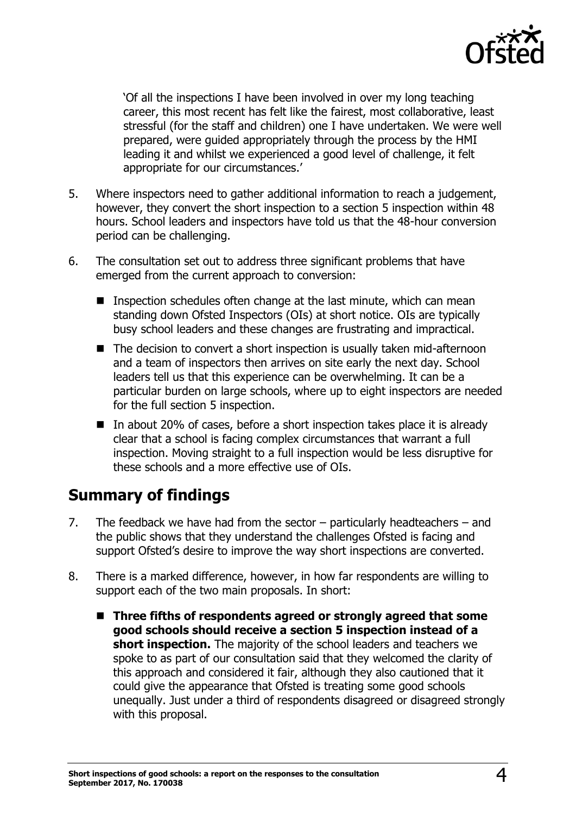

'Of all the inspections I have been involved in over my long teaching career, this most recent has felt like the fairest, most collaborative, least stressful (for the staff and children) one I have undertaken. We were well prepared, were guided appropriately through the process by the HMI leading it and whilst we experienced a good level of challenge, it felt appropriate for our circumstances.'

- 5. Where inspectors need to gather additional information to reach a judgement, however, they convert the short inspection to a section 5 inspection within 48 hours. School leaders and inspectors have told us that the 48-hour conversion period can be challenging.
- 6. The consultation set out to address three significant problems that have emerged from the current approach to conversion:
	- **Inspection schedules often change at the last minute, which can mean** standing down Ofsted Inspectors (OIs) at short notice. OIs are typically busy school leaders and these changes are frustrating and impractical.
	- The decision to convert a short inspection is usually taken mid-afternoon and a team of inspectors then arrives on site early the next day. School leaders tell us that this experience can be overwhelming. It can be a particular burden on large schools, where up to eight inspectors are needed for the full section 5 inspection.
	- In about 20% of cases, before a short inspection takes place it is already clear that a school is facing complex circumstances that warrant a full inspection. Moving straight to a full inspection would be less disruptive for these schools and a more effective use of OIs.

# <span id="page-3-0"></span>**Summary of findings**

- 7. The feedback we have had from the sector particularly headteachers and the public shows that they understand the challenges Ofsted is facing and support Ofsted's desire to improve the way short inspections are converted.
- 8. There is a marked difference, however, in how far respondents are willing to support each of the two main proposals. In short:
	- Three fifths of respondents agreed or strongly agreed that some **good schools should receive a section 5 inspection instead of a short inspection.** The majority of the school leaders and teachers we spoke to as part of our consultation said that they welcomed the clarity of this approach and considered it fair, although they also cautioned that it could give the appearance that Ofsted is treating some good schools unequally. Just under a third of respondents disagreed or disagreed strongly with this proposal.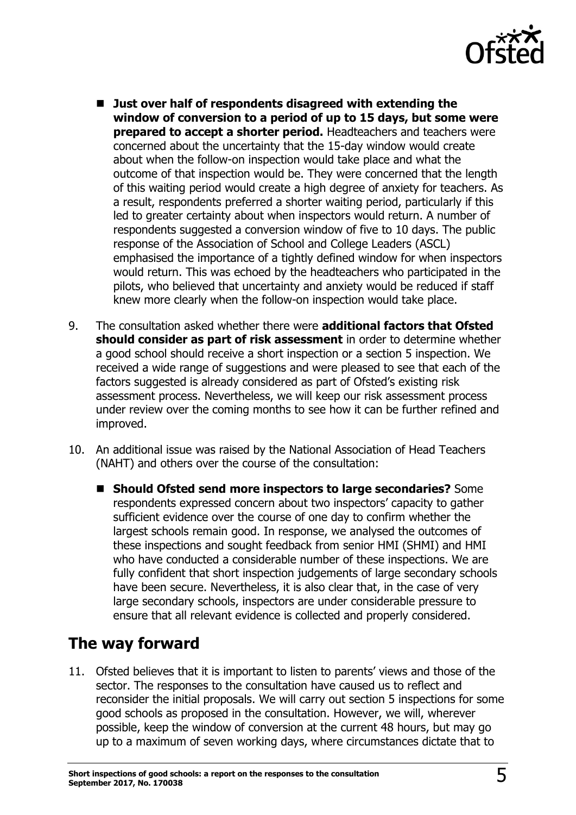

- Just over half of respondents disagreed with extending the **window of conversion to a period of up to 15 days, but some were prepared to accept a shorter period.** Headteachers and teachers were concerned about the uncertainty that the 15-day window would create about when the follow-on inspection would take place and what the outcome of that inspection would be. They were concerned that the length of this waiting period would create a high degree of anxiety for teachers. As a result, respondents preferred a shorter waiting period, particularly if this led to greater certainty about when inspectors would return. A number of respondents suggested a conversion window of five to 10 days. The public response of the Association of School and College Leaders (ASCL) emphasised the importance of a tightly defined window for when inspectors would return. This was echoed by the headteachers who participated in the pilots, who believed that uncertainty and anxiety would be reduced if staff knew more clearly when the follow-on inspection would take place.
- 9. The consultation asked whether there were **additional factors that Ofsted should consider as part of risk assessment** in order to determine whether a good school should receive a short inspection or a section 5 inspection. We received a wide range of suggestions and were pleased to see that each of the factors suggested is already considered as part of Ofsted's existing risk assessment process. Nevertheless, we will keep our risk assessment process under review over the coming months to see how it can be further refined and improved.
- 10. An additional issue was raised by the National Association of Head Teachers (NAHT) and others over the course of the consultation:
	- **Should Ofsted send more inspectors to large secondaries?** Some respondents expressed concern about two inspectors' capacity to gather sufficient evidence over the course of one day to confirm whether the largest schools remain good. In response, we analysed the outcomes of these inspections and sought feedback from senior HMI (SHMI) and HMI who have conducted a considerable number of these inspections. We are fully confident that short inspection judgements of large secondary schools have been secure. Nevertheless, it is also clear that, in the case of very large secondary schools, inspectors are under considerable pressure to ensure that all relevant evidence is collected and properly considered.

# <span id="page-4-0"></span>**The way forward**

11. Ofsted believes that it is important to listen to parents' views and those of the sector. The responses to the consultation have caused us to reflect and reconsider the initial proposals. We will carry out section 5 inspections for some good schools as proposed in the consultation. However, we will, wherever possible, keep the window of conversion at the current 48 hours, but may go up to a maximum of seven working days, where circumstances dictate that to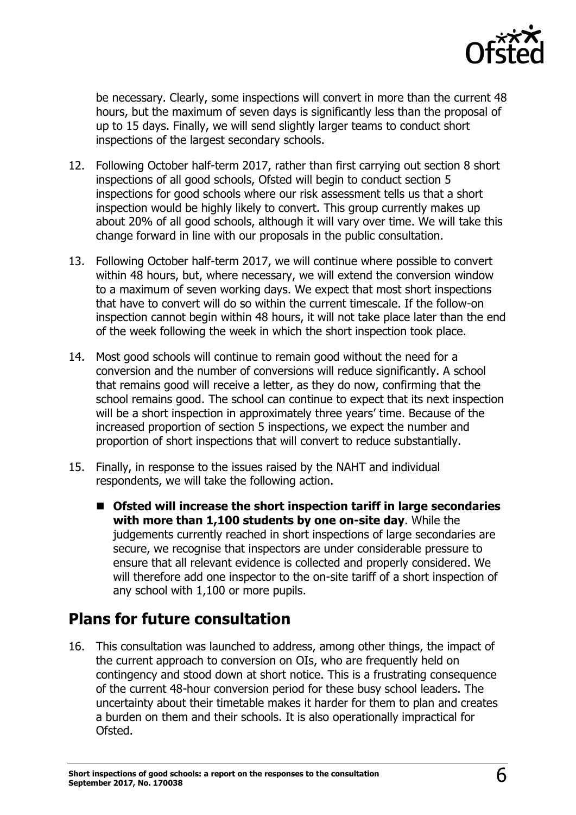

be necessary. Clearly, some inspections will convert in more than the current 48 hours, but the maximum of seven days is significantly less than the proposal of up to 15 days. Finally, we will send slightly larger teams to conduct short inspections of the largest secondary schools.

- 12. Following October half-term 2017, rather than first carrying out section 8 short inspections of all good schools, Ofsted will begin to conduct section 5 inspections for good schools where our risk assessment tells us that a short inspection would be highly likely to convert. This group currently makes up about 20% of all good schools, although it will vary over time. We will take this change forward in line with our proposals in the public consultation.
- 13. Following October half-term 2017, we will continue where possible to convert within 48 hours, but, where necessary, we will extend the conversion window to a maximum of seven working days. We expect that most short inspections that have to convert will do so within the current timescale. If the follow-on inspection cannot begin within 48 hours, it will not take place later than the end of the week following the week in which the short inspection took place.
- 14. Most good schools will continue to remain good without the need for a conversion and the number of conversions will reduce significantly. A school that remains good will receive a letter, as they do now, confirming that the school remains good. The school can continue to expect that its next inspection will be a short inspection in approximately three years' time. Because of the increased proportion of section 5 inspections, we expect the number and proportion of short inspections that will convert to reduce substantially.
- 15. Finally, in response to the issues raised by the NAHT and individual respondents, we will take the following action.
	- **Ofsted will increase the short inspection tariff in large secondaries with more than 1,100 students by one on-site day**. While the judgements currently reached in short inspections of large secondaries are secure, we recognise that inspectors are under considerable pressure to ensure that all relevant evidence is collected and properly considered. We will therefore add one inspector to the on-site tariff of a short inspection of any school with 1,100 or more pupils.

### <span id="page-5-0"></span>**Plans for future consultation**

16. This consultation was launched to address, among other things, the impact of the current approach to conversion on OIs, who are frequently held on contingency and stood down at short notice. This is a frustrating consequence of the current 48-hour conversion period for these busy school leaders. The uncertainty about their timetable makes it harder for them to plan and creates a burden on them and their schools. It is also operationally impractical for Ofsted.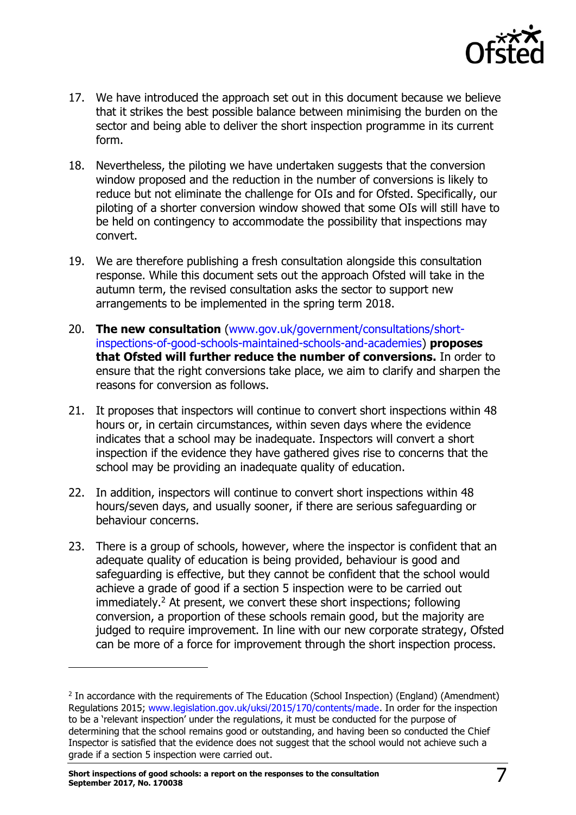

- 17. We have introduced the approach set out in this document because we believe that it strikes the best possible balance between minimising the burden on the sector and being able to deliver the short inspection programme in its current form.
- 18. Nevertheless, the piloting we have undertaken suggests that the conversion window proposed and the reduction in the number of conversions is likely to reduce but not eliminate the challenge for OIs and for Ofsted. Specifically, our piloting of a shorter conversion window showed that some OIs will still have to be held on contingency to accommodate the possibility that inspections may convert.
- 19. We are therefore publishing a fresh consultation alongside this consultation response. While this document sets out the approach Ofsted will take in the autumn term, the revised consultation asks the sector to support new arrangements to be implemented in the spring term 2018.
- 20. **The new consultation** [\(www.gov.uk/government/consultations/short](http://www.gov.uk/government/consultations/short-inspections-of-good-schools-maintained-schools-and-academies)[inspections-of-good-schools-maintained-schools-and-academies\)](http://www.gov.uk/government/consultations/short-inspections-of-good-schools-maintained-schools-and-academies) **proposes that Ofsted will further reduce the number of conversions.** In order to ensure that the right conversions take place, we aim to clarify and sharpen the reasons for conversion as follows.
- 21. It proposes that inspectors will continue to convert short inspections within 48 hours or, in certain circumstances, within seven days where the evidence indicates that a school may be inadequate. Inspectors will convert a short inspection if the evidence they have gathered gives rise to concerns that the school may be providing an inadequate quality of education.
- 22. In addition, inspectors will continue to convert short inspections within 48 hours/seven days, and usually sooner, if there are serious safeguarding or behaviour concerns.
- 23. There is a group of schools, however, where the inspector is confident that an adequate quality of education is being provided, behaviour is good and safeguarding is effective, but they cannot be confident that the school would achieve a grade of good if a section 5 inspection were to be carried out immediately.<sup>2</sup> At present, we convert these short inspections; following conversion, a proportion of these schools remain good, but the majority are judged to require improvement. In line with our new corporate strategy, Ofsted can be more of a force for improvement through the short inspection process.

j

<sup>&</sup>lt;sup>2</sup> In accordance with the requirements of The Education (School Inspection) (England) (Amendment) Regulations 2015; [www.legislation.gov.uk/uksi/2015/170/contents/made.](http://www.legislation.gov.uk/uksi/2015/170/contents/made) In order for the inspection to be a 'relevant inspection' under the regulations, it must be conducted for the purpose of determining that the school remains good or outstanding, and having been so conducted the Chief Inspector is satisfied that the evidence does not suggest that the school would not achieve such a grade if a section 5 inspection were carried out.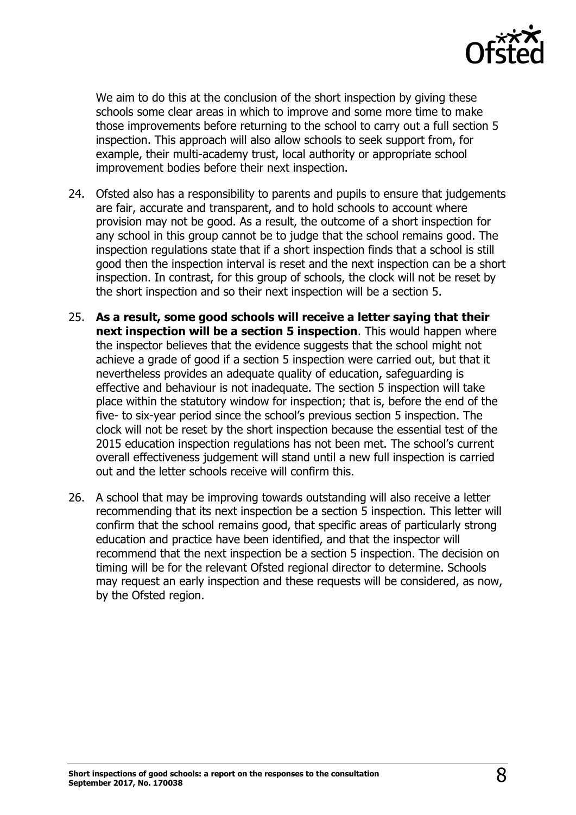

We aim to do this at the conclusion of the short inspection by giving these schools some clear areas in which to improve and some more time to make those improvements before returning to the school to carry out a full section 5 inspection. This approach will also allow schools to seek support from, for example, their multi-academy trust, local authority or appropriate school improvement bodies before their next inspection.

- 24. Ofsted also has a responsibility to parents and pupils to ensure that judgements are fair, accurate and transparent, and to hold schools to account where provision may not be good. As a result, the outcome of a short inspection for any school in this group cannot be to judge that the school remains good. The inspection regulations state that if a short inspection finds that a school is still good then the inspection interval is reset and the next inspection can be a short inspection. In contrast, for this group of schools, the clock will not be reset by the short inspection and so their next inspection will be a section 5.
- 25. **As a result, some good schools will receive a letter saying that their next inspection will be a section 5 inspection**. This would happen where the inspector believes that the evidence suggests that the school might not achieve a grade of good if a section 5 inspection were carried out, but that it nevertheless provides an adequate quality of education, safeguarding is effective and behaviour is not inadequate. The section 5 inspection will take place within the statutory window for inspection; that is, before the end of the five- to six-year period since the school's previous section 5 inspection. The clock will not be reset by the short inspection because the essential test of the 2015 education inspection regulations has not been met. The school's current overall effectiveness judgement will stand until a new full inspection is carried out and the letter schools receive will confirm this.
- 26. A school that may be improving towards outstanding will also receive a letter recommending that its next inspection be a section 5 inspection. This letter will confirm that the school remains good, that specific areas of particularly strong education and practice have been identified, and that the inspector will recommend that the next inspection be a section 5 inspection. The decision on timing will be for the relevant Ofsted regional director to determine. Schools may request an early inspection and these requests will be considered, as now, by the Ofsted region.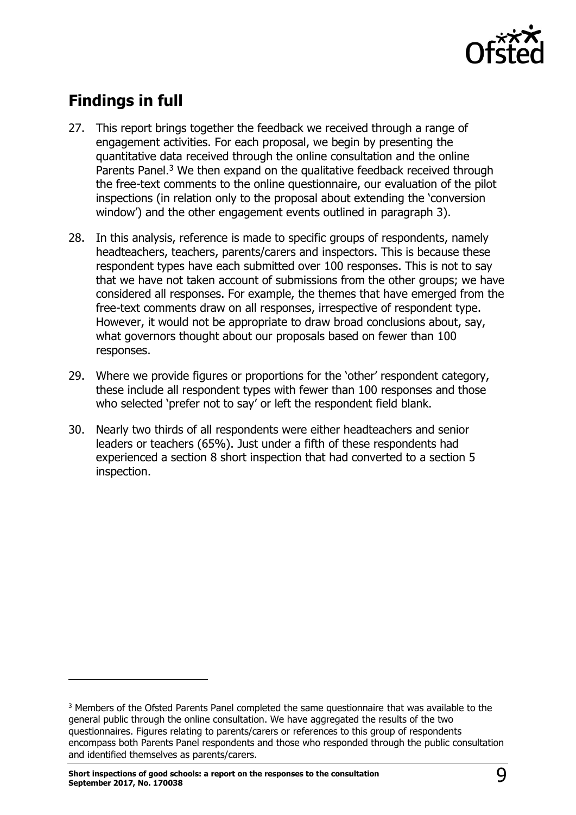

# <span id="page-8-0"></span>**Findings in full**

 $\overline{a}$ 

- 27. This report brings together the feedback we received through a range of engagement activities. For each proposal, we begin by presenting the quantitative data received through the online consultation and the online Parents Panel.<sup>3</sup> We then expand on the qualitative feedback received through the free-text comments to the online questionnaire, our evaluation of the pilot inspections (in relation only to the proposal about extending the 'conversion window') and the other engagement events outlined in paragraph 3).
- 28. In this analysis, reference is made to specific groups of respondents, namely headteachers, teachers, parents/carers and inspectors. This is because these respondent types have each submitted over 100 responses. This is not to say that we have not taken account of submissions from the other groups; we have considered all responses. For example, the themes that have emerged from the free-text comments draw on all responses, irrespective of respondent type. However, it would not be appropriate to draw broad conclusions about, say, what governors thought about our proposals based on fewer than 100 responses.
- 29. Where we provide figures or proportions for the 'other' respondent category, these include all respondent types with fewer than 100 responses and those who selected 'prefer not to say' or left the respondent field blank.
- 30. Nearly two thirds of all respondents were either headteachers and senior leaders or teachers (65%). Just under a fifth of these respondents had experienced a section 8 short inspection that had converted to a section 5 inspection.

<sup>&</sup>lt;sup>3</sup> Members of the Ofsted Parents Panel completed the same questionnaire that was available to the general public through the online consultation. We have aggregated the results of the two questionnaires. Figures relating to parents/carers or references to this group of respondents encompass both Parents Panel respondents and those who responded through the public consultation and identified themselves as parents/carers.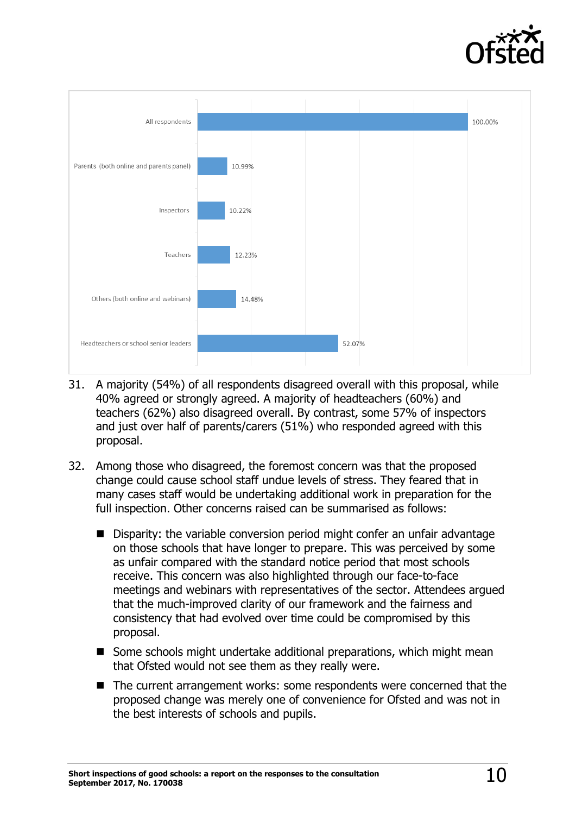



- 31. A majority (54%) of all respondents disagreed overall with this proposal, while 40% agreed or strongly agreed. A majority of headteachers (60%) and teachers (62%) also disagreed overall. By contrast, some 57% of inspectors and just over half of parents/carers (51%) who responded agreed with this proposal.
- 32. Among those who disagreed, the foremost concern was that the proposed change could cause school staff undue levels of stress. They feared that in many cases staff would be undertaking additional work in preparation for the full inspection. Other concerns raised can be summarised as follows:
	- Disparity: the variable conversion period might confer an unfair advantage on those schools that have longer to prepare. This was perceived by some as unfair compared with the standard notice period that most schools receive. This concern was also highlighted through our face-to-face meetings and webinars with representatives of the sector. Attendees argued that the much-improved clarity of our framework and the fairness and consistency that had evolved over time could be compromised by this proposal.
	- Some schools might undertake additional preparations, which might mean that Ofsted would not see them as they really were.
	- The current arrangement works: some respondents were concerned that the proposed change was merely one of convenience for Ofsted and was not in the best interests of schools and pupils.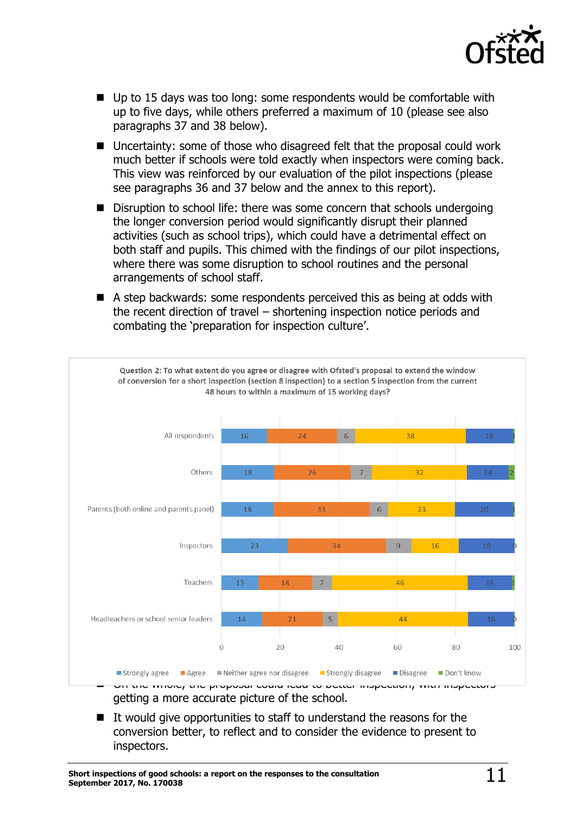

- Up to 15 days was too long: some respondents would be comfortable with up to five days, while others preferred a maximum of 10 (please see also paragraphs 37 and 38 below).
- Uncertainty: some of those who disagreed felt that the proposal could work much better if schools were told exactly when inspectors were coming back. This view was reinforced by our evaluation of the pilot inspections (please see paragraphs 36 and 37 below and the annex to this report).
- Disruption to school life: there was some concern that schools undergoing the longer conversion period would significantly disrupt their planned activities (such as school trips), which could have a detrimental effect on both staff and pupils. This chimed with the findings of our pilot inspections, where there was some disruption to school routines and the personal arrangements of school staff.
- A step backwards: some respondents perceived this as being at odds with the recent direction of travel – shortening inspection notice periods and combating the 'preparation for inspection culture'.



 It would give opportunities to staff to understand the reasons for the conversion better, to reflect and to consider the evidence to present to inspectors.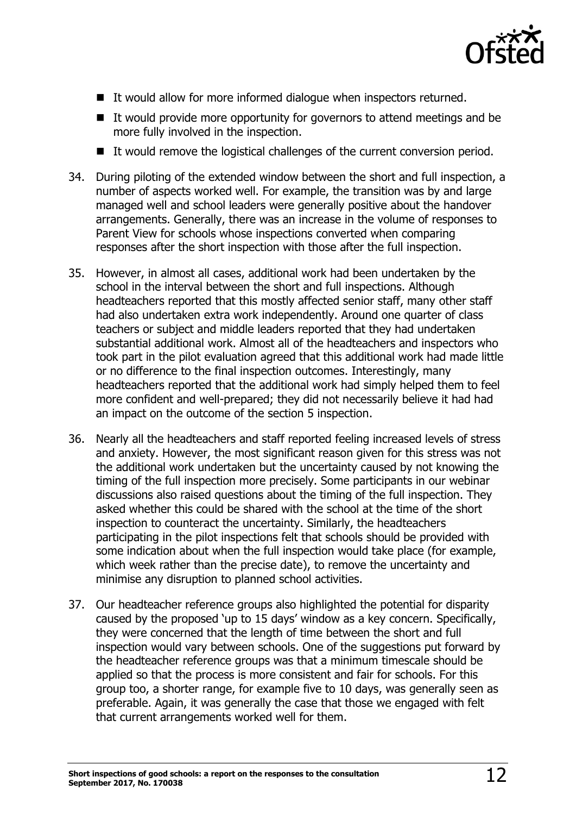

- It would allow for more informed dialogue when inspectors returned.
- It would provide more opportunity for governors to attend meetings and be more fully involved in the inspection.
- It would remove the logistical challenges of the current conversion period.
- 34. During piloting of the extended window between the short and full inspection, a number of aspects worked well. For example, the transition was by and large managed well and school leaders were generally positive about the handover arrangements. Generally, there was an increase in the volume of responses to Parent View for schools whose inspections converted when comparing responses after the short inspection with those after the full inspection.
- 35. However, in almost all cases, additional work had been undertaken by the school in the interval between the short and full inspections. Although headteachers reported that this mostly affected senior staff, many other staff had also undertaken extra work independently. Around one quarter of class teachers or subject and middle leaders reported that they had undertaken substantial additional work. Almost all of the headteachers and inspectors who took part in the pilot evaluation agreed that this additional work had made little or no difference to the final inspection outcomes. Interestingly, many headteachers reported that the additional work had simply helped them to feel more confident and well-prepared; they did not necessarily believe it had had an impact on the outcome of the section 5 inspection.
- 36. Nearly all the headteachers and staff reported feeling increased levels of stress and anxiety. However, the most significant reason given for this stress was not the additional work undertaken but the uncertainty caused by not knowing the timing of the full inspection more precisely. Some participants in our webinar discussions also raised questions about the timing of the full inspection. They asked whether this could be shared with the school at the time of the short inspection to counteract the uncertainty. Similarly, the headteachers participating in the pilot inspections felt that schools should be provided with some indication about when the full inspection would take place (for example, which week rather than the precise date), to remove the uncertainty and minimise any disruption to planned school activities.
- 37. Our headteacher reference groups also highlighted the potential for disparity caused by the proposed 'up to 15 days' window as a key concern. Specifically, they were concerned that the length of time between the short and full inspection would vary between schools. One of the suggestions put forward by the headteacher reference groups was that a minimum timescale should be applied so that the process is more consistent and fair for schools. For this group too, a shorter range, for example five to 10 days, was generally seen as preferable. Again, it was generally the case that those we engaged with felt that current arrangements worked well for them.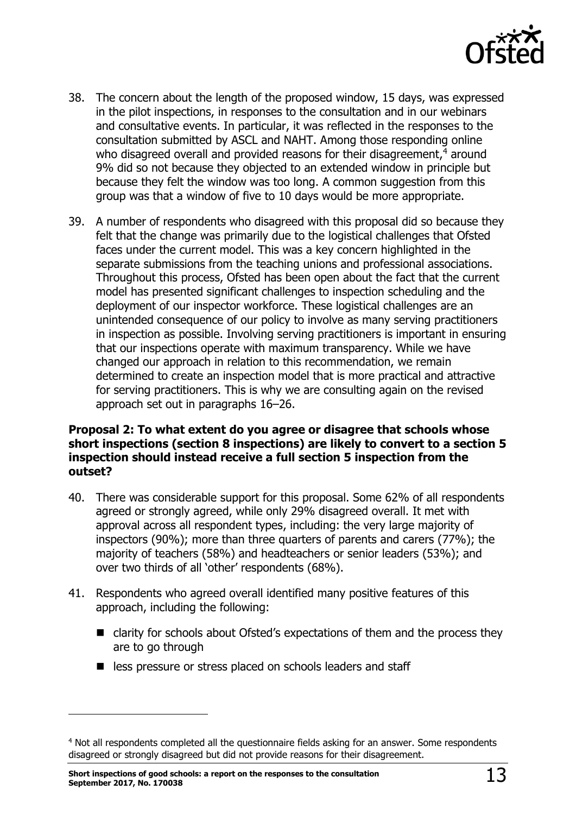

- 38. The concern about the length of the proposed window, 15 days, was expressed in the pilot inspections, in responses to the consultation and in our webinars and consultative events. In particular, it was reflected in the responses to the consultation submitted by ASCL and NAHT. Among those responding online who disagreed overall and provided reasons for their disagreement,<sup>4</sup> around 9% did so not because they objected to an extended window in principle but because they felt the window was too long. A common suggestion from this group was that a window of five to 10 days would be more appropriate.
- 39. A number of respondents who disagreed with this proposal did so because they felt that the change was primarily due to the logistical challenges that Ofsted faces under the current model. This was a key concern highlighted in the separate submissions from the teaching unions and professional associations. Throughout this process, Ofsted has been open about the fact that the current model has presented significant challenges to inspection scheduling and the deployment of our inspector workforce. These logistical challenges are an unintended consequence of our policy to involve as many serving practitioners in inspection as possible. Involving serving practitioners is important in ensuring that our inspections operate with maximum transparency. While we have changed our approach in relation to this recommendation, we remain determined to create an inspection model that is more practical and attractive for serving practitioners. This is why we are consulting again on the revised approach set out in paragraphs 16–26.

#### **Proposal 2: To what extent do you agree or disagree that schools whose short inspections (section 8 inspections) are likely to convert to a section 5 inspection should instead receive a full section 5 inspection from the outset?**

- 40. There was considerable support for this proposal. Some 62% of all respondents agreed or strongly agreed, while only 29% disagreed overall. It met with approval across all respondent types, including: the very large majority of inspectors (90%); more than three quarters of parents and carers (77%); the majority of teachers (58%) and headteachers or senior leaders (53%); and over two thirds of all 'other' respondents (68%).
- 41. Respondents who agreed overall identified many positive features of this approach, including the following:
	- clarity for schools about Ofsted's expectations of them and the process they are to go through
	- less pressure or stress placed on schools leaders and staff

j

<sup>&</sup>lt;sup>4</sup> Not all respondents completed all the questionnaire fields asking for an answer. Some respondents disagreed or strongly disagreed but did not provide reasons for their disagreement.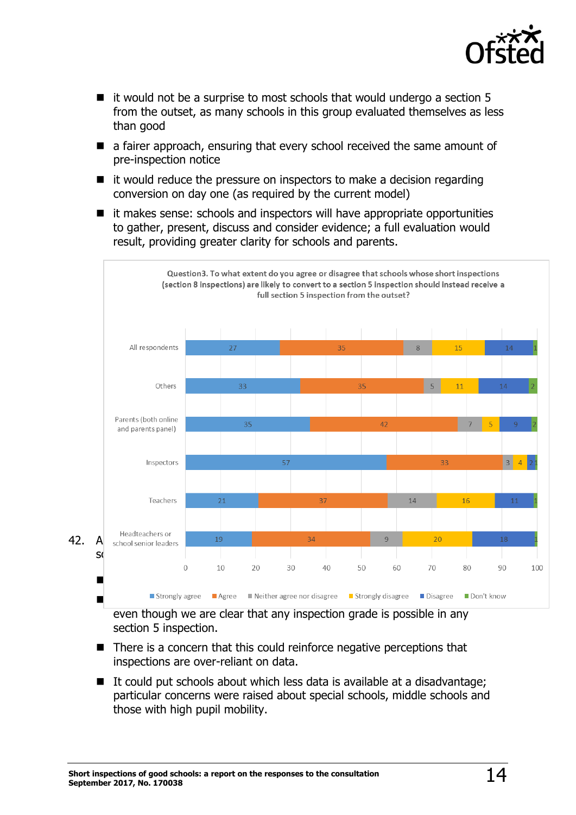

- $\blacksquare$  it would not be a surprise to most schools that would undergo a section 5 from the outset, as many schools in this group evaluated themselves as less than good
- a fairer approach, ensuring that every school received the same amount of pre-inspection notice
- $\blacksquare$  it would reduce the pressure on inspectors to make a decision regarding conversion on day one (as required by the current model)
- $\blacksquare$  it makes sense: schools and inspectors will have appropriate opportunities to gather, present, discuss and consider evidence; a full evaluation would result, providing greater clarity for schools and parents.



even though we are clear that any inspection grade is possible in any section 5 inspection.

- $\blacksquare$  There is a concern that this could reinforce negative perceptions that inspections are over-reliant on data.
- $\blacksquare$  It could put schools about which less data is available at a disadvantage; particular concerns were raised about special schools, middle schools and those with high pupil mobility.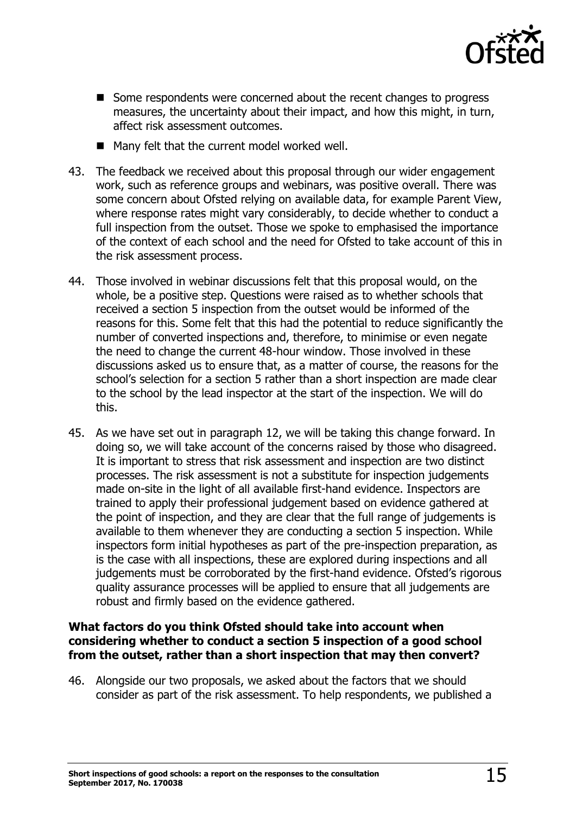

- Some respondents were concerned about the recent changes to progress measures, the uncertainty about their impact, and how this might, in turn, affect risk assessment outcomes.
- $\blacksquare$  Many felt that the current model worked well.
- 43. The feedback we received about this proposal through our wider engagement work, such as reference groups and webinars, was positive overall. There was some concern about Ofsted relying on available data, for example Parent View, where response rates might vary considerably, to decide whether to conduct a full inspection from the outset. Those we spoke to emphasised the importance of the context of each school and the need for Ofsted to take account of this in the risk assessment process.
- 44. Those involved in webinar discussions felt that this proposal would, on the whole, be a positive step. Questions were raised as to whether schools that received a section 5 inspection from the outset would be informed of the reasons for this. Some felt that this had the potential to reduce significantly the number of converted inspections and, therefore, to minimise or even negate the need to change the current 48-hour window. Those involved in these discussions asked us to ensure that, as a matter of course, the reasons for the school's selection for a section 5 rather than a short inspection are made clear to the school by the lead inspector at the start of the inspection. We will do this.
- 45. As we have set out in paragraph 12, we will be taking this change forward. In doing so, we will take account of the concerns raised by those who disagreed. It is important to stress that risk assessment and inspection are two distinct processes. The risk assessment is not a substitute for inspection judgements made on-site in the light of all available first-hand evidence. Inspectors are trained to apply their professional judgement based on evidence gathered at the point of inspection, and they are clear that the full range of judgements is available to them whenever they are conducting a section 5 inspection. While inspectors form initial hypotheses as part of the pre-inspection preparation, as is the case with all inspections, these are explored during inspections and all judgements must be corroborated by the first-hand evidence. Ofsted's rigorous quality assurance processes will be applied to ensure that all judgements are robust and firmly based on the evidence gathered.

#### **What factors do you think Ofsted should take into account when considering whether to conduct a section 5 inspection of a good school from the outset, rather than a short inspection that may then convert?**

46. Alongside our two proposals, we asked about the factors that we should consider as part of the risk assessment. To help respondents, we published a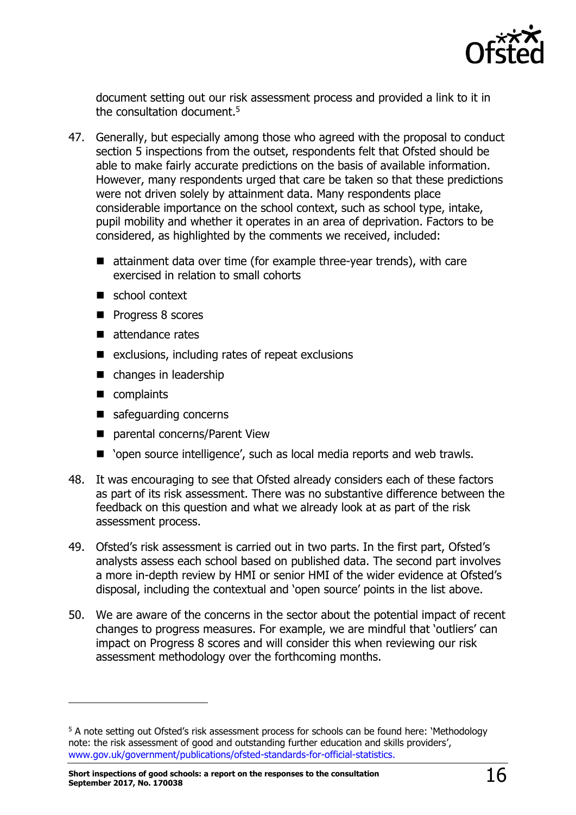

document setting out our risk assessment process and provided a link to it in the consultation document. 5

- 47. Generally, but especially among those who agreed with the proposal to conduct section 5 inspections from the outset, respondents felt that Ofsted should be able to make fairly accurate predictions on the basis of available information. However, many respondents urged that care be taken so that these predictions were not driven solely by attainment data. Many respondents place considerable importance on the school context, such as school type, intake, pupil mobility and whether it operates in an area of deprivation. Factors to be considered, as highlighted by the comments we received, included:
	- attainment data over time (for example three-year trends), with care exercised in relation to small cohorts
	- school context
	- **Progress 8 scores**
	- $\blacksquare$  attendance rates
	- $\blacksquare$  exclusions, including rates of repeat exclusions
	- changes in leadership
	- complaints

-

- safeguarding concerns
- parental concerns/Parent View
- 'open source intelligence', such as local media reports and web trawls.
- 48. It was encouraging to see that Ofsted already considers each of these factors as part of its risk assessment. There was no substantive difference between the feedback on this question and what we already look at as part of the risk assessment process.
- 49. Ofsted's risk assessment is carried out in two parts. In the first part, Ofsted's analysts assess each school based on published data. The second part involves a more in-depth review by HMI or senior HMI of the wider evidence at Ofsted's disposal, including the contextual and 'open source' points in the list above.
- 50. We are aware of the concerns in the sector about the potential impact of recent changes to progress measures. For example, we are mindful that 'outliers' can impact on Progress 8 scores and will consider this when reviewing our risk assessment methodology over the forthcoming months.

<sup>&</sup>lt;sup>5</sup> A note setting out Ofsted's risk assessment process for schools can be found here: 'Methodology note: the risk assessment of good and outstanding further education and skills providers', [www.gov.uk/government/publications/ofsted-standards-for-official-statistics.](http://www.gov.uk/government/publications/ofsted-standards-for-official-statistics)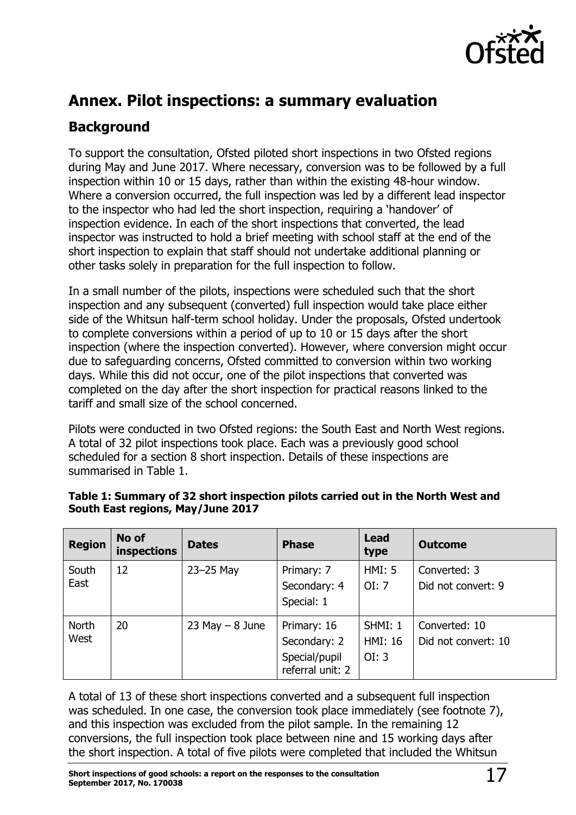

## <span id="page-16-0"></span>**Annex. Pilot inspections: a summary evaluation**

### **Background**

To support the consultation, Ofsted piloted short inspections in two Ofsted regions during May and June 2017. Where necessary, conversion was to be followed by a full inspection within 10 or 15 days, rather than within the existing 48-hour window. Where a conversion occurred, the full inspection was led by a different lead inspector to the inspector who had led the short inspection, requiring a 'handover' of inspection evidence. In each of the short inspections that converted, the lead inspector was instructed to hold a brief meeting with school staff at the end of the short inspection to explain that staff should not undertake additional planning or other tasks solely in preparation for the full inspection to follow.

In a small number of the pilots, inspections were scheduled such that the short inspection and any subsequent (converted) full inspection would take place either side of the Whitsun half-term school holiday. Under the proposals, Ofsted undertook to complete conversions within a period of up to 10 or 15 days after the short inspection (where the inspection converted). However, where conversion might occur due to safeguarding concerns, Ofsted committed to conversion within two working days. While this did not occur, one of the pilot inspections that converted was completed on the day after the short inspection for practical reasons linked to the tariff and small size of the school concerned.

Pilots were conducted in two Ofsted regions: the South East and North West regions. A total of 32 pilot inspections took place. Each was a previously good school scheduled for a section 8 short inspection. Details of these inspections are summarised in Table 1.

| <b>Region</b>        | No of<br>inspections | <b>Dates</b>       | <b>Phase</b>                                                     | <b>Lead</b><br>type                | <b>Outcome</b>                       |
|----------------------|----------------------|--------------------|------------------------------------------------------------------|------------------------------------|--------------------------------------|
| South<br>East        | 12                   | $23 - 25$ May      | Primary: 7<br>Secondary: 4<br>Special: 1                         | HMI: 5<br>OI: 7                    | Converted: 3<br>Did not convert: 9   |
| <b>North</b><br>West | 20                   | $23$ May $-8$ June | Primary: 16<br>Secondary: 2<br>Special/pupil<br>referral unit: 2 | SHMI: 1<br><b>HMI: 16</b><br>OI: 3 | Converted: 10<br>Did not convert: 10 |

#### **Table 1: Summary of 32 short inspection pilots carried out in the North West and South East regions, May/June 2017**

A total of 13 of these short inspections converted and a subsequent full inspection was scheduled. In one case, the conversion took place immediately (see footnote 7), and this inspection was excluded from the pilot sample. In the remaining 12 conversions, the full inspection took place between nine and 15 working days after the short inspection. A total of five pilots were completed that included the Whitsun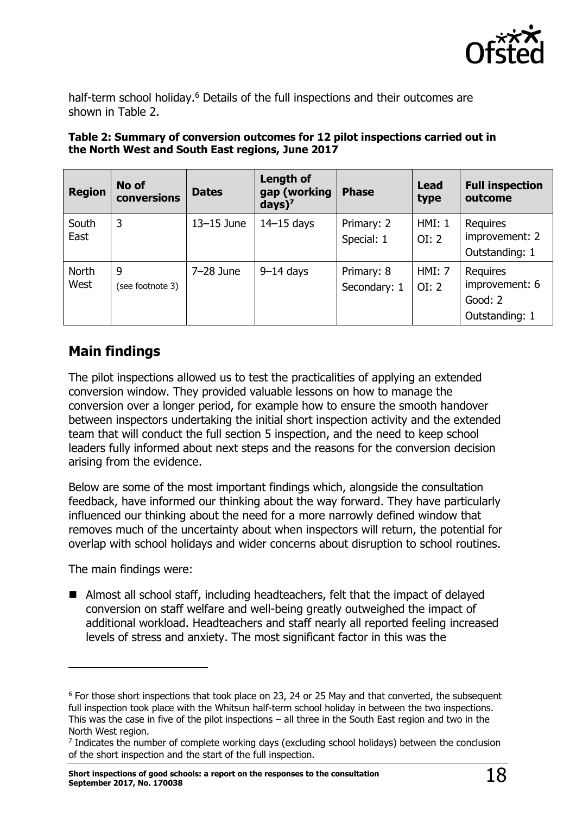

half-term school holiday.<sup>6</sup> Details of the full inspections and their outcomes are shown in Table 2.

| Table 2: Summary of conversion outcomes for 12 pilot inspections carried out in |
|---------------------------------------------------------------------------------|
| the North West and South East regions, June 2017                                |

| <b>Region</b> | No of<br>conversions  | <b>Dates</b>   | <b>Length of</b><br>gap (working<br>$days$ ) <sup>7</sup> | <b>Phase</b>               | <b>Lead</b><br>type    | <b>Full inspection</b><br>outcome                       |
|---------------|-----------------------|----------------|-----------------------------------------------------------|----------------------------|------------------------|---------------------------------------------------------|
| South<br>East | 3                     | $13 - 15$ June | $14-15$ days                                              | Primary: 2<br>Special: 1   | <b>HMI: 1</b><br>OI: 2 | Requires<br>improvement: 2<br>Outstanding: 1            |
| North<br>West | 9<br>(see footnote 3) | $7-28$ June    | $9-14$ days                                               | Primary: 8<br>Secondary: 1 | HMI: 7<br>OI: 2        | Requires<br>improvement: 6<br>Good: 2<br>Outstanding: 1 |

### **Main findings**

The pilot inspections allowed us to test the practicalities of applying an extended conversion window. They provided valuable lessons on how to manage the conversion over a longer period, for example how to ensure the smooth handover between inspectors undertaking the initial short inspection activity and the extended team that will conduct the full section 5 inspection, and the need to keep school leaders fully informed about next steps and the reasons for the conversion decision arising from the evidence.

Below are some of the most important findings which, alongside the consultation feedback, have informed our thinking about the way forward. They have particularly influenced our thinking about the need for a more narrowly defined window that removes much of the uncertainty about when inspectors will return, the potential for overlap with school holidays and wider concerns about disruption to school routines.

The main findings were:

j

■ Almost all school staff, including headteachers, felt that the impact of delayed conversion on staff welfare and well-being greatly outweighed the impact of additional workload. Headteachers and staff nearly all reported feeling increased levels of stress and anxiety. The most significant factor in this was the

<sup>6</sup> For those short inspections that took place on 23, 24 or 25 May and that converted, the subsequent full inspection took place with the Whitsun half-term school holiday in between the two inspections. This was the case in five of the pilot inspections – all three in the South East region and two in the North West region.

<sup>&</sup>lt;sup>7</sup> Indicates the number of complete working days (excluding school holidays) between the conclusion of the short inspection and the start of the full inspection.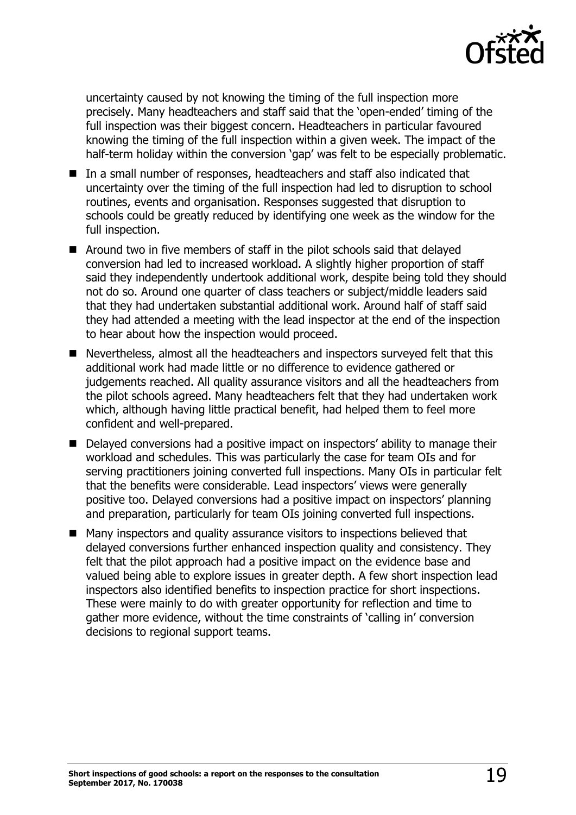

uncertainty caused by not knowing the timing of the full inspection more precisely. Many headteachers and staff said that the 'open-ended' timing of the full inspection was their biggest concern. Headteachers in particular favoured knowing the timing of the full inspection within a given week. The impact of the half-term holiday within the conversion 'gap' was felt to be especially problematic.

- In a small number of responses, headteachers and staff also indicated that uncertainty over the timing of the full inspection had led to disruption to school routines, events and organisation. Responses suggested that disruption to schools could be greatly reduced by identifying one week as the window for the full inspection.
- Around two in five members of staff in the pilot schools said that delayed conversion had led to increased workload. A slightly higher proportion of staff said they independently undertook additional work, despite being told they should not do so. Around one quarter of class teachers or subject/middle leaders said that they had undertaken substantial additional work. Around half of staff said they had attended a meeting with the lead inspector at the end of the inspection to hear about how the inspection would proceed.
- Nevertheless, almost all the headteachers and inspectors surveyed felt that this additional work had made little or no difference to evidence gathered or judgements reached. All quality assurance visitors and all the headteachers from the pilot schools agreed. Many headteachers felt that they had undertaken work which, although having little practical benefit, had helped them to feel more confident and well-prepared.
- Delayed conversions had a positive impact on inspectors' ability to manage their workload and schedules. This was particularly the case for team OIs and for serving practitioners joining converted full inspections. Many OIs in particular felt that the benefits were considerable. Lead inspectors' views were generally positive too. Delayed conversions had a positive impact on inspectors' planning and preparation, particularly for team OIs joining converted full inspections.
- Many inspectors and quality assurance visitors to inspections believed that delayed conversions further enhanced inspection quality and consistency. They felt that the pilot approach had a positive impact on the evidence base and valued being able to explore issues in greater depth. A few short inspection lead inspectors also identified benefits to inspection practice for short inspections. These were mainly to do with greater opportunity for reflection and time to gather more evidence, without the time constraints of 'calling in' conversion decisions to regional support teams.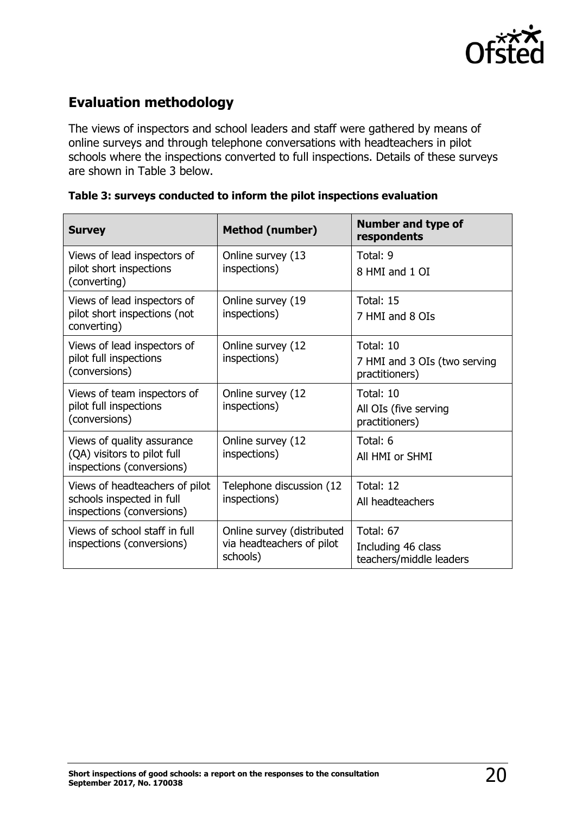

### **Evaluation methodology**

The views of inspectors and school leaders and staff were gathered by means of online surveys and through telephone conversations with headteachers in pilot schools where the inspections converted to full inspections. Details of these surveys are shown in Table 3 below.

| <b>Survey</b>                                                                            | <b>Method (number)</b>                                              | <b>Number and type of</b><br>respondents                    |
|------------------------------------------------------------------------------------------|---------------------------------------------------------------------|-------------------------------------------------------------|
| Views of lead inspectors of<br>pilot short inspections<br>(converting)                   | Online survey (13<br>inspections)                                   | Total: 9<br>8 HMI and 1 OI                                  |
| Views of lead inspectors of<br>pilot short inspections (not<br>converting)               | Online survey (19<br>inspections)                                   | Total: 15<br>7 HMI and 8 OIs                                |
| Views of lead inspectors of<br>pilot full inspections<br>(conversions)                   | Online survey (12<br>inspections)                                   | Total: 10<br>7 HMI and 3 OIs (two serving<br>practitioners) |
| Views of team inspectors of<br>pilot full inspections<br>(conversions)                   | Online survey (12<br>inspections)                                   | Total: 10<br>All OIs (five serving<br>practitioners)        |
| Views of quality assurance<br>(QA) visitors to pilot full<br>inspections (conversions)   | Online survey (12<br>inspections)                                   | Total: 6<br>All HMI or SHMI                                 |
| Views of headteachers of pilot<br>schools inspected in full<br>inspections (conversions) | Telephone discussion (12<br>inspections)                            | Total: 12<br>All headteachers                               |
| Views of school staff in full<br>inspections (conversions)                               | Online survey (distributed<br>via headteachers of pilot<br>schools) | Total: 67<br>Including 46 class<br>teachers/middle leaders  |

#### **Table 3: surveys conducted to inform the pilot inspections evaluation**